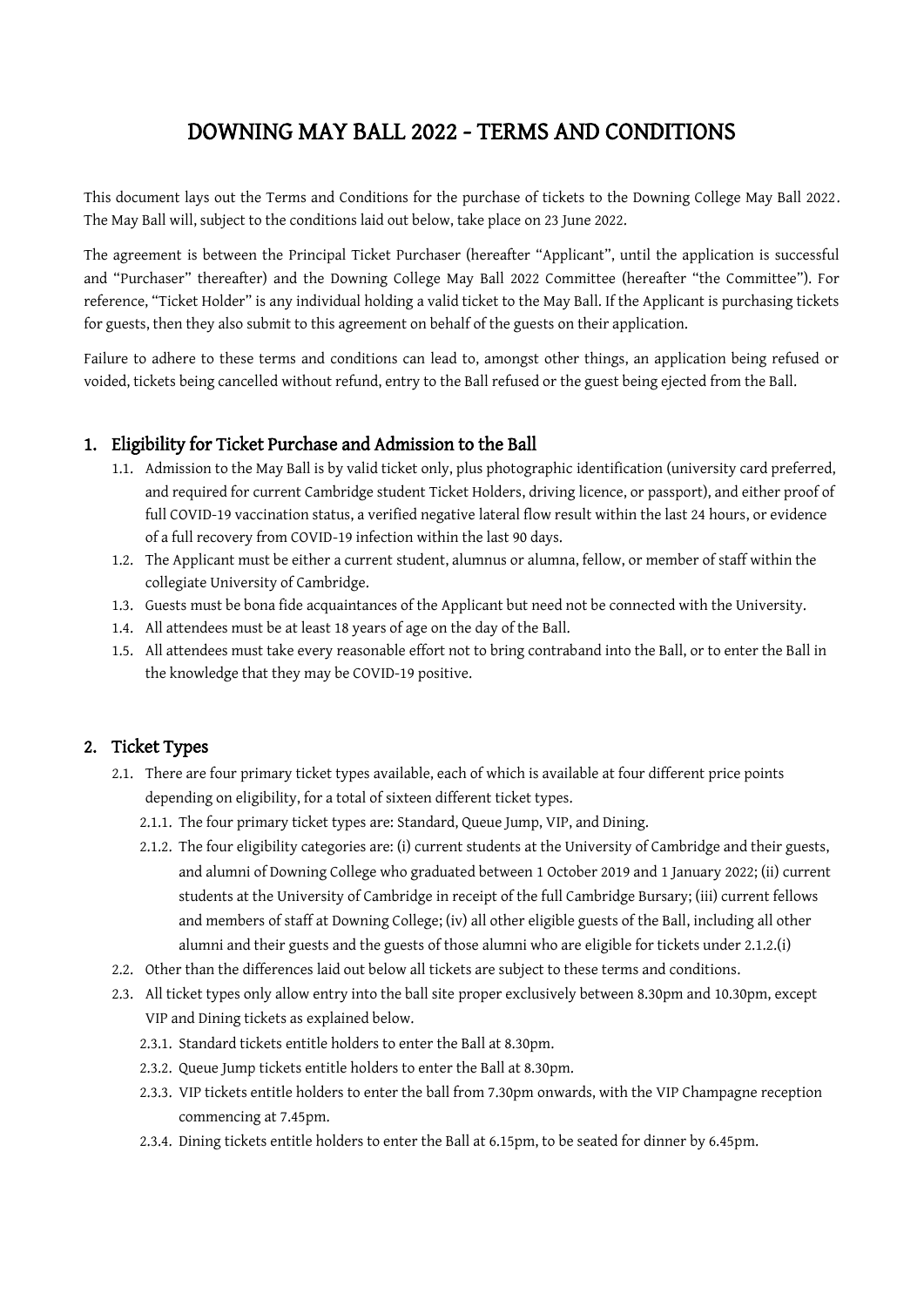# DOWNING MAY BALL 2022 - TERMS AND CONDITIONS

This document lays out the Terms and Conditions for the purchase of tickets to the Downing College May Ball 2022. The May Ball will, subject to the conditions laid out below, take place on 23 June 2022.

The agreement is between the Principal Ticket Purchaser (hereafter "Applicant", until the application is successful and "Purchaser" thereafter) and the Downing College May Ball 2022 Committee (hereafter "the Committee"). For reference, "Ticket Holder" is any individual holding a valid ticket to the May Ball. If the Applicant is purchasing tickets for guests, then they also submit to this agreement on behalf of the guests on their application.

Failure to adhere to these terms and conditions can lead to, amongst other things, an application being refused or voided, tickets being cancelled without refund, entry to the Ball refused or the guest being ejected from the Ball.

## 1. Eligibility for Ticket Purchase and Admission to the Ball

- 1.1. Admission to the May Ball is by valid ticket only, plus photographic identification (university card preferred, and required for current Cambridge student Ticket Holders, driving licence, or passport), and either proof of full COVID-19 vaccination status, a verified negative lateral flow result within the last 24 hours, or evidence of a full recovery from COVID-19 infection within the last 90 days.
- 1.2. The Applicant must be either a current student, alumnus or alumna, fellow, or member of staff within the collegiate University of Cambridge.
- 1.3. Guests must be bona fide acquaintances of the Applicant but need not be connected with the University.
- 1.4. All attendees must be at least 18 years of age on the day of the Ball.
- 1.5. All attendees must take every reasonable effort not to bring contraband into the Ball, or to enter the Ball in the knowledge that they may be COVID-19 positive.

## 2. Ticket Types

- 2.1. There are four primary ticket types available, each of which is available at four different price points depending on eligibility, for a total of sixteen different ticket types.
	- 2.1.1. The four primary ticket types are: Standard, Queue Jump, VIP, and Dining.
	- 2.1.2. The four eligibility categories are: (i) current students at the University of Cambridge and their guests, and alumni of Downing College who graduated between 1 October 2019 and 1 January 2022; (ii) current students at the University of Cambridge in receipt of the full Cambridge Bursary; (iii) current fellows and members of staff at Downing College; (iv) all other eligible guests of the Ball, including all other alumni and their guests and the guests of those alumni who are eligible for tickets under 2.1.2.(i)
- 2.2. Other than the differences laid out below all tickets are subject to these terms and conditions.
- 2.3. All ticket types only allow entry into the ball site proper exclusively between 8.30pm and 10.30pm, except VIP and Dining tickets as explained below.
	- 2.3.1. Standard tickets entitle holders to enter the Ball at 8.30pm.
	- 2.3.2. Queue Jump tickets entitle holders to enter the Ball at 8.30pm.
	- 2.3.3. VIP tickets entitle holders to enter the ball from 7.30pm onwards, with the VIP Champagne reception commencing at 7.45pm.
	- 2.3.4. Dining tickets entitle holders to enter the Ball at 6.15pm, to be seated for dinner by 6.45pm.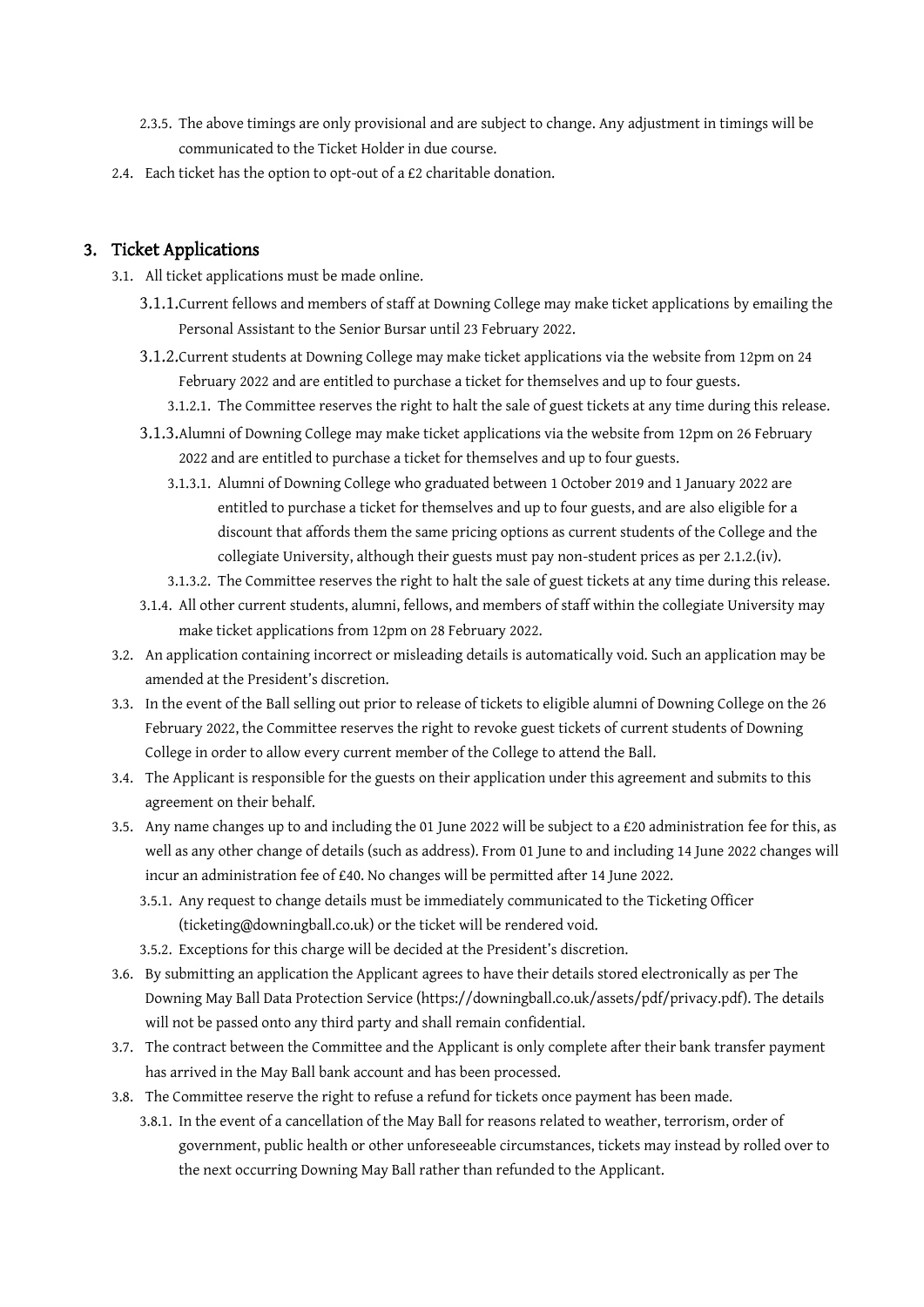- 2.3.5. The above timings are only provisional and are subject to change. Any adjustment in timings will be communicated to the Ticket Holder in due course.
- 2.4. Each ticket has the option to opt-out of a £2 charitable donation.

#### 3. Ticket Applications

- 3.1. All ticket applications must be made online.
	- 3.1.1.Current fellows and members of staff at Downing College may make ticket applications by emailing the Personal Assistant to the Senior Bursar until 23 February 2022.
	- 3.1.2.Current students at Downing College may make ticket applications via the website from 12pm on 24 February 2022 and are entitled to purchase a ticket for themselves and up to four guests.
		- 3.1.2.1. The Committee reserves the right to halt the sale of guest tickets at any time during this release.
	- 3.1.3.Alumni of Downing College may make ticket applications via the website from 12pm on 26 February 2022 and are entitled to purchase a ticket for themselves and up to four guests.
		- 3.1.3.1. Alumni of Downing College who graduated between 1 October 2019 and 1 January 2022 are entitled to purchase a ticket for themselves and up to four guests, and are also eligible for a discount that affords them the same pricing options as current students of the College and the collegiate University, although their guests must pay non-student prices as per 2.1.2.(iv).
		- 3.1.3.2. The Committee reserves the right to halt the sale of guest tickets at any time during this release.
	- 3.1.4. All other current students, alumni, fellows, and members of staff within the collegiate University may make ticket applications from 12pm on 28 February 2022.
- 3.2. An application containing incorrect or misleading details is automatically void. Such an application may be amended at the President's discretion.
- 3.3. In the event of the Ball selling out prior to release of tickets to eligible alumni of Downing College on the 26 February 2022, the Committee reserves the right to revoke guest tickets of current students of Downing College in order to allow every current member of the College to attend the Ball.
- 3.4. The Applicant is responsible for the guests on their application under this agreement and submits to this agreement on their behalf.
- 3.5. Any name changes up to and including the 01 June 2022 will be subject to a £20 administration fee for this, as well as any other change of details (such as address). From 01 June to and including 14 June 2022 changes will incur an administration fee of £40. No changes will be permitted after 14 June 2022.
	- 3.5.1. Any request to change details must be immediately communicated to the Ticketing Officer (ticketing@downingball.co.uk) or the ticket will be rendered void.
	- 3.5.2. Exceptions for this charge will be decided at the President's discretion.
- 3.6. By submitting an application the Applicant agrees to have their details stored electronically as per The Downing May Ball Data Protection Service (https://downingball.co.uk/assets/pdf/privacy.pdf). The details will not be passed onto any third party and shall remain confidential.
- 3.7. The contract between the Committee and the Applicant is only complete after their bank transfer payment has arrived in the May Ball bank account and has been processed.
- 3.8. The Committee reserve the right to refuse a refund for tickets once payment has been made.
	- 3.8.1. In the event of a cancellation of the May Ball for reasons related to weather, terrorism, order of government, public health or other unforeseeable circumstances, tickets may instead by rolled over to the next occurring Downing May Ball rather than refunded to the Applicant.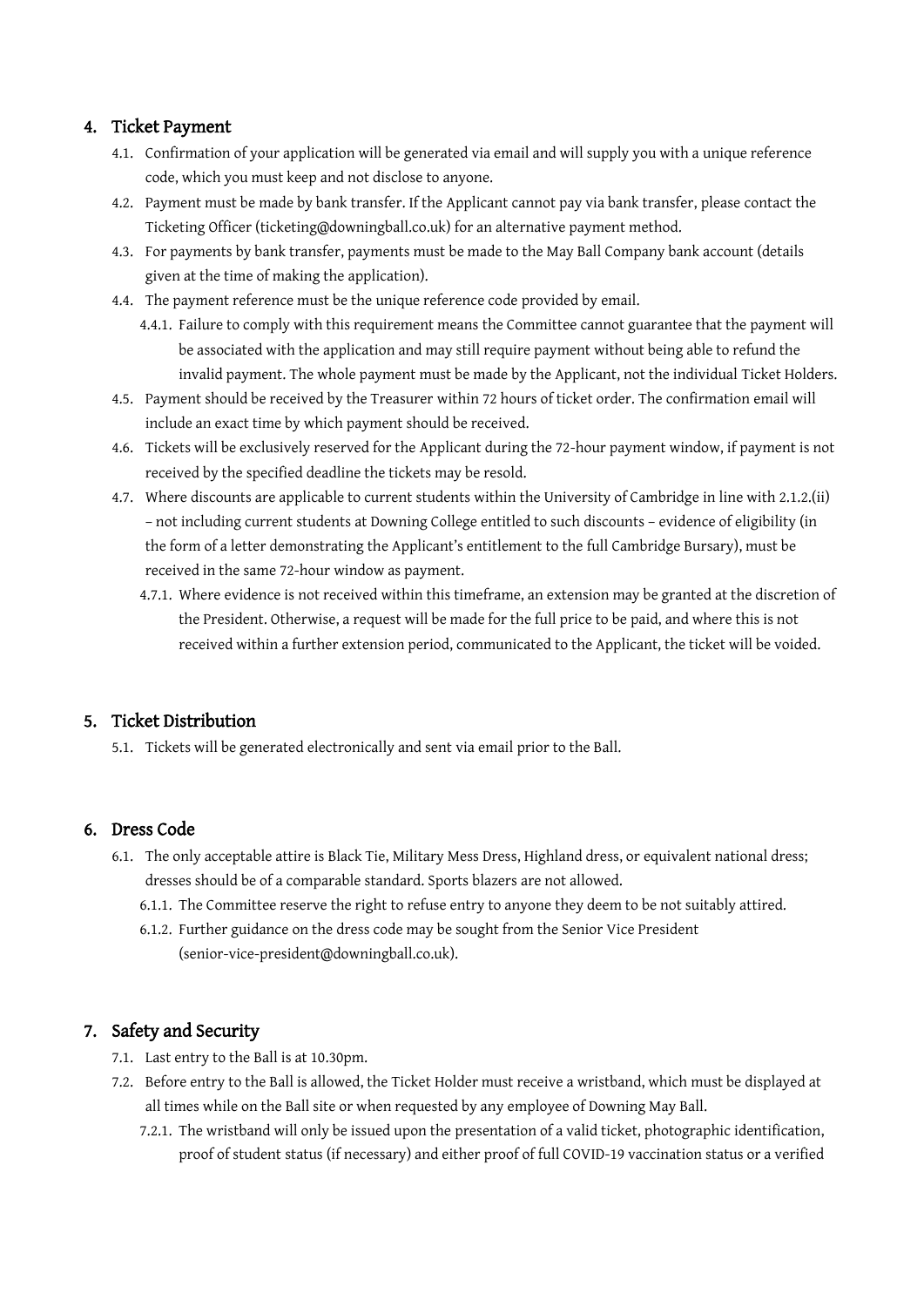## 4. Ticket Payment

- 4.1. Confirmation of your application will be generated via email and will supply you with a unique reference code, which you must keep and not disclose to anyone.
- 4.2. Payment must be made by bank transfer. If the Applicant cannot pay via bank transfer, please contact the Ticketing Officer (ticketing@downingball.co.uk) for an alternative payment method.
- 4.3. For payments by bank transfer, payments must be made to the May Ball Company bank account (details given at the time of making the application).
- 4.4. The payment reference must be the unique reference code provided by email.
	- 4.4.1. Failure to comply with this requirement means the Committee cannot guarantee that the payment will be associated with the application and may still require payment without being able to refund the invalid payment. The whole payment must be made by the Applicant, not the individual Ticket Holders.
- 4.5. Payment should be received by the Treasurer within 72 hours of ticket order. The confirmation email will include an exact time by which payment should be received.
- 4.6. Tickets will be exclusively reserved for the Applicant during the 72-hour payment window, if payment is not received by the specified deadline the tickets may be resold.
- 4.7. Where discounts are applicable to current students within the University of Cambridge in line with 2.1.2.(ii) – not including current students at Downing College entitled to such discounts – evidence of eligibility (in the form of a letter demonstrating the Applicant's entitlement to the full Cambridge Bursary), must be received in the same 72-hour window as payment.
	- 4.7.1. Where evidence is not received within this timeframe, an extension may be granted at the discretion of the President. Otherwise, a request will be made for the full price to be paid, and where this is not received within a further extension period, communicated to the Applicant, the ticket will be voided.

## 5. Ticket Distribution

5.1. Tickets will be generated electronically and sent via email prior to the Ball.

## 6. Dress Code

- 6.1. The only acceptable attire is Black Tie, Military Mess Dress, Highland dress, or equivalent national dress; dresses should be of a comparable standard. Sports blazers are not allowed.
	- 6.1.1. The Committee reserve the right to refuse entry to anyone they deem to be not suitably attired.
	- 6.1.2. Further guidance on the dress code may be sought from the Senior Vice President (senior-vice-president@downingball.co.uk).

## 7. Safety and Security

- 7.1. Last entry to the Ball is at 10.30pm.
- 7.2. Before entry to the Ball is allowed, the Ticket Holder must receive a wristband, which must be displayed at all times while on the Ball site or when requested by any employee of Downing May Ball.
	- 7.2.1. The wristband will only be issued upon the presentation of a valid ticket, photographic identification, proof of student status (if necessary) and either proof of full COVID-19 vaccination status or a verified